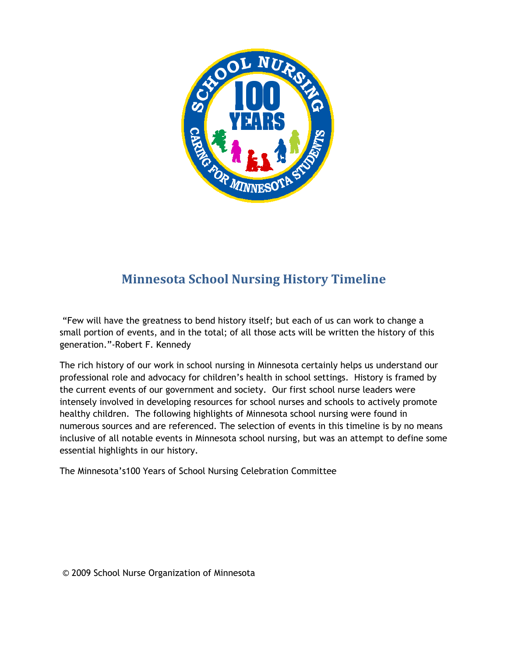

# **Minnesota School Nursing History Timeline**

"Few will have the greatness to bend history itself; but each of us can work to change a small portion of events, and in the total; of all those acts will be written the history of this generation."-Robert F. Kennedy

The rich history of our work in school nursing in Minnesota certainly helps us understand our professional role and advocacy for children's health in school settings. History is framed by the current events of our government and society. Our first school nurse leaders were intensely involved in developing resources for school nurses and schools to actively promote healthy children. The following highlights of Minnesota school nursing were found in numerous sources and are referenced. The selection of events in this timeline is by no means inclusive of all notable events in Minnesota school nursing, but was an attempt to define some essential highlights in our history.

The Minnesota's100 Years of School Nursing Celebration Committee

© 2009 School Nurse Organization of Minnesota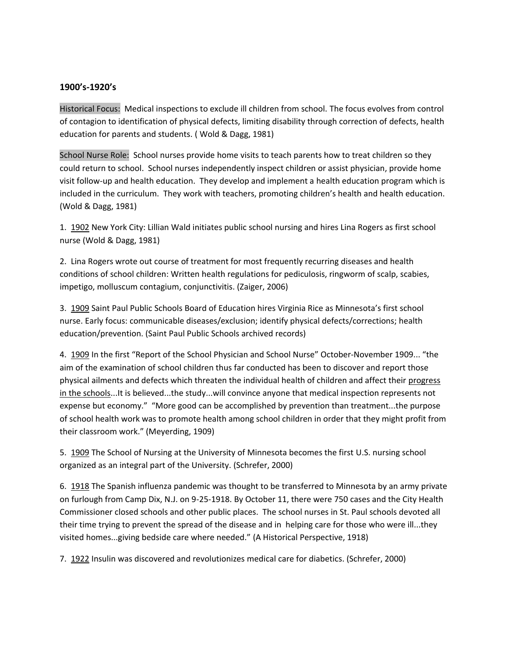#### **1900's-1920's**

Historical Focus: Medical inspections to exclude ill children from school. The focus evolves from control of contagion to identification of physical defects, limiting disability through correction of defects, health education for parents and students. ( Wold & Dagg, 1981)

School Nurse Role: School nurses provide home visits to teach parents how to treat children so they could return to school. School nurses independently inspect children or assist physician, provide home visit follow-up and health education. They develop and implement a health education program which is included in the curriculum. They work with teachers, promoting children's health and health education. (Wold & Dagg, 1981)

1. 1902 New York City: Lillian Wald initiates public school nursing and hires Lina Rogers as first school nurse (Wold & Dagg, 1981)

2. Lina Rogers wrote out course of treatment for most frequently recurring diseases and health conditions of school children: Written health regulations for pediculosis, ringworm of scalp, scabies, impetigo, molluscum contagium, conjunctivitis. (Zaiger, 2006)

3. 1909 Saint Paul Public Schools Board of Education hires Virginia Rice as Minnesota's first school nurse. Early focus: communicable diseases/exclusion; identify physical defects/corrections; health education/prevention. (Saint Paul Public Schools archived records)

4. 1909 In the first "Report of the School Physician and School Nurse" October-November 1909... "the aim of the examination of school children thus far conducted has been to discover and report those physical ailments and defects which threaten the individual health of children and affect their progress in the schools...It is believed...the study...will convince anyone that medical inspection represents not expense but economy." "More good can be accomplished by prevention than treatment...the purpose of school health work was to promote health among school children in order that they might profit from their classroom work." (Meyerding, 1909)

5. 1909 The School of Nursing at the University of Minnesota becomes the first U.S. nursing school organized as an integral part of the University. (Schrefer, 2000)

6. 1918 The Spanish influenza pandemic was thought to be transferred to Minnesota by an army private on furlough from Camp Dix, N.J. on 9-25-1918. By October 11, there were 750 cases and the City Health Commissioner closed schools and other public places. The school nurses in St. Paul schools devoted all their time trying to prevent the spread of the disease and in helping care for those who were ill...they visited homes...giving bedside care where needed." (A Historical Perspective, 1918)

7. 1922 Insulin was discovered and revolutionizes medical care for diabetics. (Schrefer, 2000)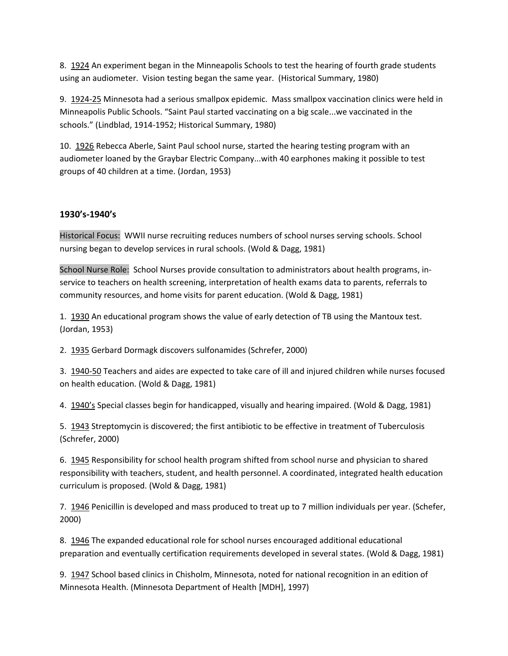8. 1924 An experiment began in the Minneapolis Schools to test the hearing of fourth grade students using an audiometer. Vision testing began the same year. (Historical Summary, 1980)

9. 1924-25 Minnesota had a serious smallpox epidemic. Mass smallpox vaccination clinics were held in Minneapolis Public Schools. "Saint Paul started vaccinating on a big scale...we vaccinated in the schools." (Lindblad, 1914-1952; Historical Summary, 1980)

10. 1926 Rebecca Aberle, Saint Paul school nurse, started the hearing testing program with an audiometer loaned by the Graybar Electric Company...with 40 earphones making it possible to test groups of 40 children at a time. (Jordan, 1953)

### **1930's-1940's**

Historical Focus: WWII nurse recruiting reduces numbers of school nurses serving schools. School nursing began to develop services in rural schools. (Wold & Dagg, 1981)

School Nurse Role: School Nurses provide consultation to administrators about health programs, inservice to teachers on health screening, interpretation of health exams data to parents, referrals to community resources, and home visits for parent education. (Wold & Dagg, 1981)

1. 1930 An educational program shows the value of early detection of TB using the Mantoux test. (Jordan, 1953)

2. 1935 Gerbard Dormagk discovers sulfonamides (Schrefer, 2000)

3. 1940-50 Teachers and aides are expected to take care of ill and injured children while nurses focused on health education. (Wold & Dagg, 1981)

4. 1940's Special classes begin for handicapped, visually and hearing impaired. (Wold & Dagg, 1981)

5. 1943 Streptomycin is discovered; the first antibiotic to be effective in treatment of Tuberculosis (Schrefer, 2000)

6. 1945 Responsibility for school health program shifted from school nurse and physician to shared responsibility with teachers, student, and health personnel. A coordinated, integrated health education curriculum is proposed. (Wold & Dagg, 1981)

7. 1946 Penicillin is developed and mass produced to treat up to 7 million individuals per year. (Schefer, 2000)

8. 1946 The expanded educational role for school nurses encouraged additional educational preparation and eventually certification requirements developed in several states. (Wold & Dagg, 1981)

9. 1947 School based clinics in Chisholm, Minnesota, noted for national recognition in an edition of Minnesota Health. (Minnesota Department of Health [MDH], 1997)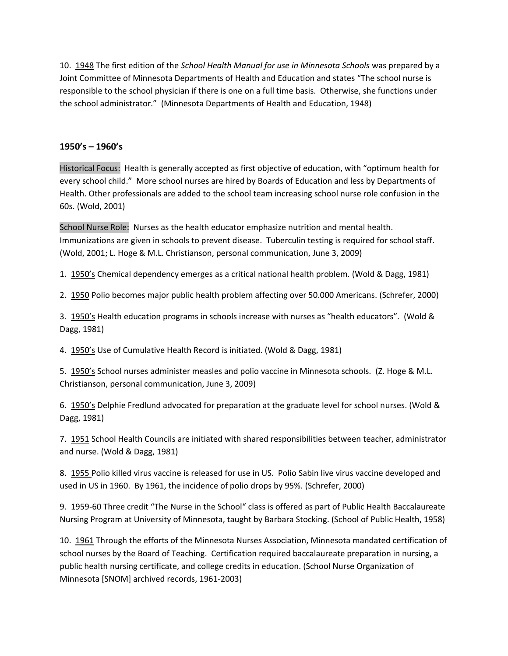10. 1948 The first edition of the *School Health Manual for use in Minnesota Schools* was prepared by a Joint Committee of Minnesota Departments of Health and Education and states "The school nurse is responsible to the school physician if there is one on a full time basis. Otherwise, she functions under the school administrator." (Minnesota Departments of Health and Education, 1948)

#### **1950's – 1960's**

Historical Focus: Health is generally accepted as first objective of education, with "optimum health for every school child." More school nurses are hired by Boards of Education and less by Departments of Health. Other professionals are added to the school team increasing school nurse role confusion in the 60s. (Wold, 2001)

School Nurse Role: Nurses as the health educator emphasize nutrition and mental health. Immunizations are given in schools to prevent disease. Tuberculin testing is required for school staff. (Wold, 2001; L. Hoge & M.L. Christianson, personal communication, June 3, 2009)

1. 1950's Chemical dependency emerges as a critical national health problem. (Wold & Dagg, 1981)

2. 1950 Polio becomes major public health problem affecting over 50.000 Americans. (Schrefer, 2000)

3. 1950's Health education programs in schools increase with nurses as "health educators". (Wold & Dagg, 1981)

4. 1950's Use of Cumulative Health Record is initiated. (Wold & Dagg, 1981)

5. 1950's School nurses administer measles and polio vaccine in Minnesota schools. (Z. Hoge & M.L. Christianson, personal communication, June 3, 2009)

6. 1950's Delphie Fredlund advocated for preparation at the graduate level for school nurses. (Wold & Dagg, 1981)

7. 1951 School Health Councils are initiated with shared responsibilities between teacher, administrator and nurse. (Wold & Dagg, 1981)

8. 1955 Polio killed virus vaccine is released for use in US. Polio Sabin live virus vaccine developed and used in US in 1960. By 1961, the incidence of polio drops by 95%. (Schrefer, 2000)

9. 1959-60 Three credit "The Nurse in the School" class is offered as part of Public Health Baccalaureate Nursing Program at University of Minnesota, taught by Barbara Stocking. (School of Public Health, 1958)

10. 1961 Through the efforts of the Minnesota Nurses Association, Minnesota mandated certification of school nurses by the Board of Teaching. Certification required baccalaureate preparation in nursing, a public health nursing certificate, and college credits in education. (School Nurse Organization of Minnesota [SNOM] archived records, 1961-2003)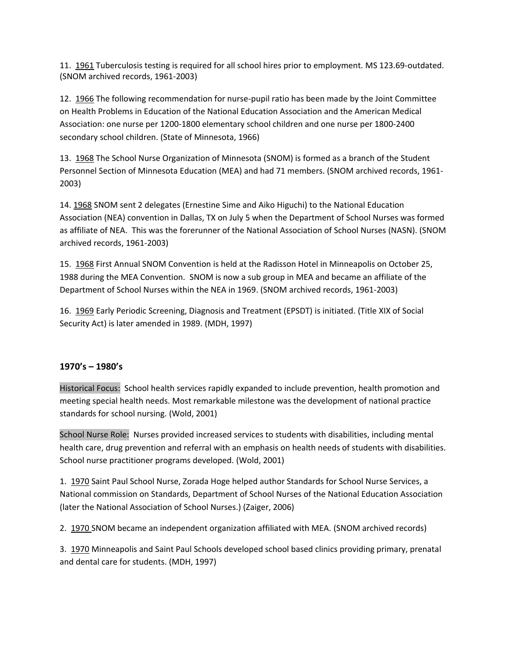11. 1961 Tuberculosis testing is required for all school hires prior to employment. MS 123.69-outdated. (SNOM archived records, 1961-2003)

12. 1966 The following recommendation for nurse-pupil ratio has been made by the Joint Committee on Health Problems in Education of the National Education Association and the American Medical Association: one nurse per 1200-1800 elementary school children and one nurse per 1800-2400 secondary school children. (State of Minnesota, 1966)

13. 1968 The School Nurse Organization of Minnesota (SNOM) is formed as a branch of the Student Personnel Section of Minnesota Education (MEA) and had 71 members. (SNOM archived records, 1961- 2003)

14. 1968 SNOM sent 2 delegates (Ernestine Sime and Aiko Higuchi) to the National Education Association (NEA) convention in Dallas, TX on July 5 when the Department of School Nurses was formed as affiliate of NEA. This was the forerunner of the National Association of School Nurses (NASN). (SNOM archived records, 1961-2003)

15. 1968 First Annual SNOM Convention is held at the Radisson Hotel in Minneapolis on October 25, 1988 during the MEA Convention. SNOM is now a sub group in MEA and became an affiliate of the Department of School Nurses within the NEA in 1969. (SNOM archived records, 1961-2003)

16. 1969 Early Periodic Screening, Diagnosis and Treatment (EPSDT) is initiated. (Title XIX of Social Security Act) is later amended in 1989. (MDH, 1997)

## **1970's – 1980's**

Historical Focus: School health services rapidly expanded to include prevention, health promotion and meeting special health needs. Most remarkable milestone was the development of national practice standards for school nursing. (Wold, 2001)

School Nurse Role: Nurses provided increased services to students with disabilities, including mental health care, drug prevention and referral with an emphasis on health needs of students with disabilities. School nurse practitioner programs developed. (Wold, 2001)

1. 1970 Saint Paul School Nurse, Zorada Hoge helped author Standards for School Nurse Services, a National commission on Standards, Department of School Nurses of the National Education Association (later the National Association of School Nurses.) (Zaiger, 2006)

2. 1970 SNOM became an independent organization affiliated with MEA. (SNOM archived records)

3. 1970 Minneapolis and Saint Paul Schools developed school based clinics providing primary, prenatal and dental care for students. (MDH, 1997)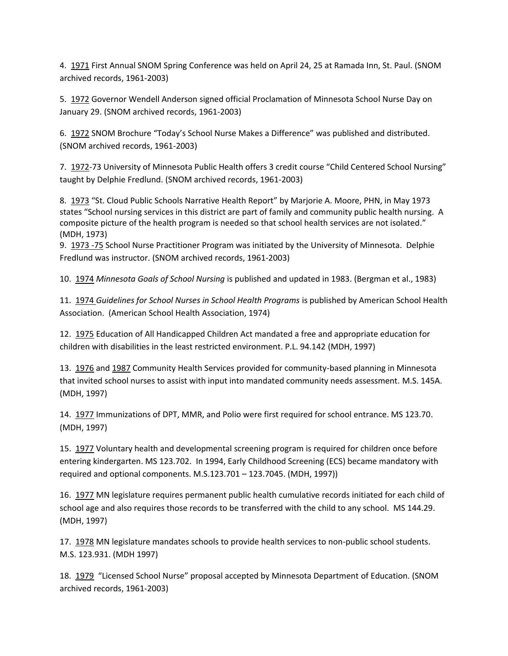4. 1971 First Annual SNOM Spring Conference was held on April 24, 25 at Ramada Inn, St. Paul. (SNOM archived records, 1961-2003)

5. 1972 Governor Wendell Anderson signed official Proclamation of Minnesota School Nurse Day on January 29. (SNOM archived records, 1961-2003)

6. 1972 SNOM Brochure "Today's School Nurse Makes a Difference" was published and distributed. (SNOM archived records, 1961-2003)

7. 1972-73 University of Minnesota Public Health offers 3 credit course "Child Centered School Nursing" taught by Delphie Fredlund. (SNOM archived records, 1961-2003)

8. 1973 "St. Cloud Public Schools Narrative Health Report" by Marjorie A. Moore, PHN, in May 1973 states "School nursing services in this district are part of family and community public health nursing. A composite picture of the health program is needed so that school health services are not isolated." (MDH, 1973)

9. 1973 -75 School Nurse Practitioner Program was initiated by the University of Minnesota. Delphie Fredlund was instructor. (SNOM archived records, 1961-2003)

10. 1974 *Minnesota Goals of School Nursing* is published and updated in 1983. (Bergman et al., 1983)

11. 1974 *Guidelines for School Nurses in School Health Programs* is published by American School Health Association. (American School Health Association, 1974)

12. 1975 Education of All Handicapped Children Act mandated a free and appropriate education for children with disabilities in the least restricted environment. P.L. 94.142 (MDH, 1997)

13. 1976 and 1987 Community Health Services provided for community-based planning in Minnesota that invited school nurses to assist with input into mandated community needs assessment. M.S. 145A. (MDH, 1997)

14. 1977 Immunizations of DPT, MMR, and Polio were first required for school entrance. MS 123.70. (MDH, 1997)

15. 1977 Voluntary health and developmental screening program is required for children once before entering kindergarten. MS 123.702. In 1994, Early Childhood Screening (ECS) became mandatory with required and optional components. M.S.123.701 – 123.7045. (MDH, 1997))

16. 1977 MN legislature requires permanent public health cumulative records initiated for each child of school age and also requires those records to be transferred with the child to any school. MS 144.29. (MDH, 1997)

17. 1978 MN legislature mandates schools to provide health services to non-public school students. M.S. 123.931. (MDH 1997)

18. 1979 "Licensed School Nurse" proposal accepted by Minnesota Department of Education. (SNOM archived records, 1961-2003)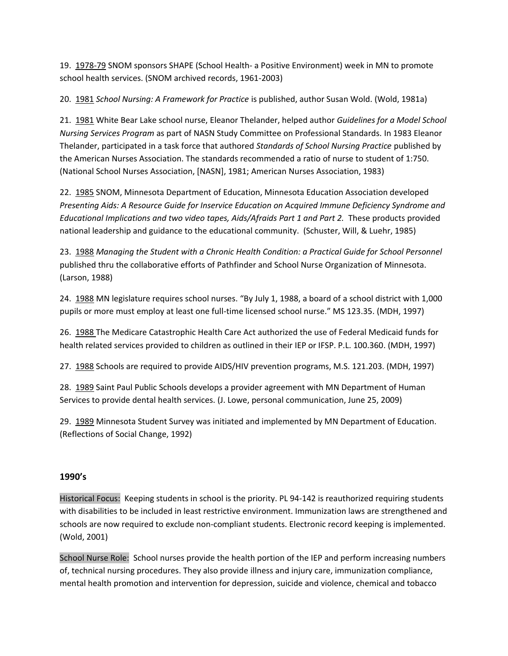19. 1978-79 SNOM sponsors SHAPE (School Health- a Positive Environment) week in MN to promote school health services. (SNOM archived records, 1961-2003)

20. 1981 *School Nursing: A Framework for Practice* is published, author Susan Wold. (Wold, 1981a)

21. 1981 White Bear Lake school nurse, Eleanor Thelander, helped author *Guidelines for a Model School Nursing Services Program* as part of NASN Study Committee on Professional Standards. In 1983 Eleanor Thelander, participated in a task force that authored *Standards of School Nursing Practice* published by the American Nurses Association. The standards recommended a ratio of nurse to student of 1:750. (National School Nurses Association, [NASN], 1981; American Nurses Association, 1983)

22. 1985 SNOM, Minnesota Department of Education, Minnesota Education Association developed *Presenting Aids: A Resource Guide for Inservice Education on Acquired Immune Deficiency Syndrome and Educational Implications and two video tapes, Aids/Afraids Part 1 and Part 2.* These products provided national leadership and guidance to the educational community. (Schuster, Will, & Luehr, 1985)

23. 1988 *Managing the Student with a Chronic Health Condition: a Practical Guide for School Personnel* published thru the collaborative efforts of Pathfinder and School Nurse Organization of Minnesota. (Larson, 1988)

24. 1988 MN legislature requires school nurses. "By July 1, 1988, a board of a school district with 1,000 pupils or more must employ at least one full-time licensed school nurse." MS 123.35. (MDH, 1997)

26. 1988 The Medicare Catastrophic Health Care Act authorized the use of Federal Medicaid funds for health related services provided to children as outlined in their IEP or IFSP. P.L. 100.360. (MDH, 1997)

27. 1988 Schools are required to provide AIDS/HIV prevention programs, M.S. 121.203. (MDH, 1997)

28. 1989 Saint Paul Public Schools develops a provider agreement with MN Department of Human Services to provide dental health services. (J. Lowe, personal communication, June 25, 2009)

29. 1989 Minnesota Student Survey was initiated and implemented by MN Department of Education. (Reflections of Social Change, 1992)

## **1990's**

Historical Focus: Keeping students in school is the priority. PL 94-142 is reauthorized requiring students with disabilities to be included in least restrictive environment. Immunization laws are strengthened and schools are now required to exclude non-compliant students. Electronic record keeping is implemented. (Wold, 2001)

School Nurse Role: School nurses provide the health portion of the IEP and perform increasing numbers of, technical nursing procedures. They also provide illness and injury care, immunization compliance, mental health promotion and intervention for depression, suicide and violence, chemical and tobacco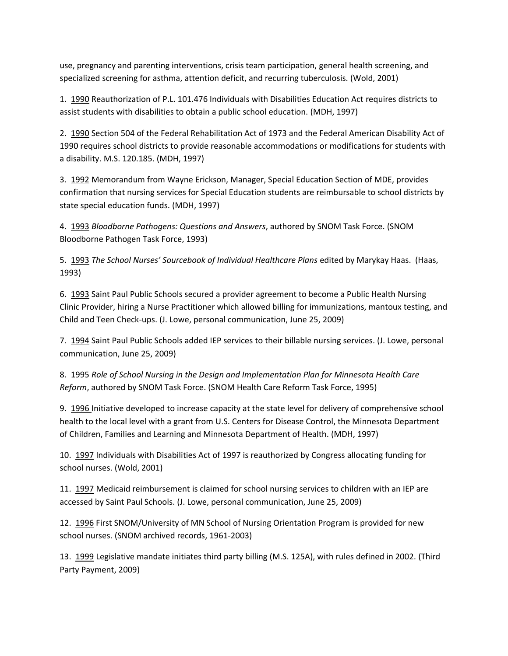use, pregnancy and parenting interventions, crisis team participation, general health screening, and specialized screening for asthma, attention deficit, and recurring tuberculosis. (Wold, 2001)

1. 1990 Reauthorization of P.L. 101.476 Individuals with Disabilities Education Act requires districts to assist students with disabilities to obtain a public school education. (MDH, 1997)

2. 1990 Section 504 of the Federal Rehabilitation Act of 1973 and the Federal American Disability Act of 1990 requires school districts to provide reasonable accommodations or modifications for students with a disability. M.S. 120.185. (MDH, 1997)

3. 1992 Memorandum from Wayne Erickson, Manager, Special Education Section of MDE, provides confirmation that nursing services for Special Education students are reimbursable to school districts by state special education funds. (MDH, 1997)

4. 1993 *Bloodborne Pathogens: Questions and Answers*, authored by SNOM Task Force. (SNOM Bloodborne Pathogen Task Force, 1993)

5. 1993 *The School Nurses' Sourcebook of Individual Healthcare Plans* edited by Marykay Haas. (Haas, 1993)

6. 1993 Saint Paul Public Schools secured a provider agreement to become a Public Health Nursing Clinic Provider, hiring a Nurse Practitioner which allowed billing for immunizations, mantoux testing, and Child and Teen Check-ups. (J. Lowe, personal communication, June 25, 2009)

7. 1994 Saint Paul Public Schools added IEP services to their billable nursing services. (J. Lowe, personal communication, June 25, 2009)

8. 1995 *Role of School Nursing in the Design and Implementation Plan for Minnesota Health Care Reform*, authored by SNOM Task Force. (SNOM Health Care Reform Task Force, 1995)

9. 1996 Initiative developed to increase capacity at the state level for delivery of comprehensive school health to the local level with a grant from U.S. Centers for Disease Control, the Minnesota Department of Children, Families and Learning and Minnesota Department of Health. (MDH, 1997)

10. 1997 Individuals with Disabilities Act of 1997 is reauthorized by Congress allocating funding for school nurses. (Wold, 2001)

11. 1997 Medicaid reimbursement is claimed for school nursing services to children with an IEP are accessed by Saint Paul Schools. (J. Lowe, personal communication, June 25, 2009)

12. 1996 First SNOM/University of MN School of Nursing Orientation Program is provided for new school nurses. (SNOM archived records, 1961-2003)

13. 1999 Legislative mandate initiates third party billing (M.S. 125A), with rules defined in 2002. (Third Party Payment, 2009)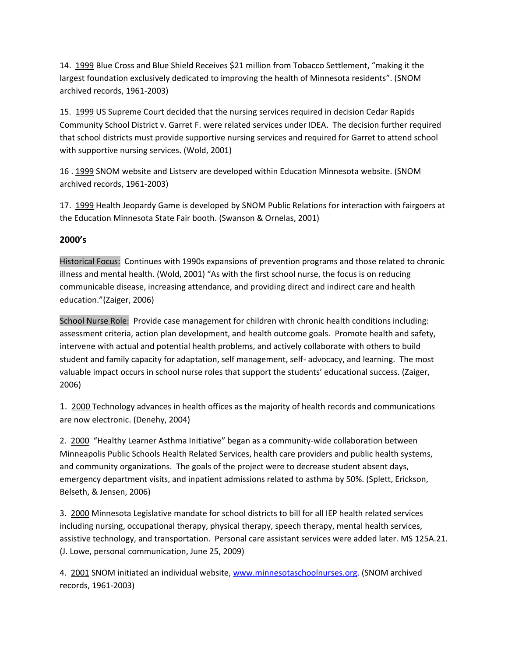14. 1999 Blue Cross and Blue Shield Receives \$21 million from Tobacco Settlement, "making it the largest foundation exclusively dedicated to improving the health of Minnesota residents". (SNOM archived records, 1961-2003)

15. 1999 US Supreme Court decided that the nursing services required in decision Cedar Rapids Community School District v. Garret F. were related services under IDEA. The decision further required that school districts must provide supportive nursing services and required for Garret to attend school with supportive nursing services. (Wold, 2001)

16 . 1999 SNOM website and Listserv are developed within Education Minnesota website. (SNOM archived records, 1961-2003)

17. 1999 Health Jeopardy Game is developed by SNOM Public Relations for interaction with fairgoers at the Education Minnesota State Fair booth. (Swanson & Ornelas, 2001)

# **2000's**

Historical Focus: Continues with 1990s expansions of prevention programs and those related to chronic illness and mental health. (Wold, 2001) "As with the first school nurse, the focus is on reducing communicable disease, increasing attendance, and providing direct and indirect care and health education."(Zaiger, 2006)

School Nurse Role: Provide case management for children with chronic health conditions including: assessment criteria, action plan development, and health outcome goals. Promote health and safety, intervene with actual and potential health problems, and actively collaborate with others to build student and family capacity for adaptation, self management, self- advocacy, and learning. The most valuable impact occurs in school nurse roles that support the students' educational success. (Zaiger, 2006)

1. 2000 Technology advances in health offices as the majority of health records and communications are now electronic. (Denehy, 2004)

2. 2000 "Healthy Learner Asthma Initiative" began as a community-wide collaboration between Minneapolis Public Schools Health Related Services, health care providers and public health systems, and community organizations. The goals of the project were to decrease student absent days, emergency department visits, and inpatient admissions related to asthma by 50%. (Splett, Erickson, Belseth, & Jensen, 2006)

3. 2000 Minnesota Legislative mandate for school districts to bill for all IEP health related services including nursing, occupational therapy, physical therapy, speech therapy, mental health services, assistive technology, and transportation. Personal care assistant services were added later. MS 125A.21. (J. Lowe, personal communication, June 25, 2009)

4. 2001 SNOM initiated an individual website, [www.minnesotaschoolnurses.org.](http://www.minnesotaschoolnurses.org/) (SNOM archived records, 1961-2003)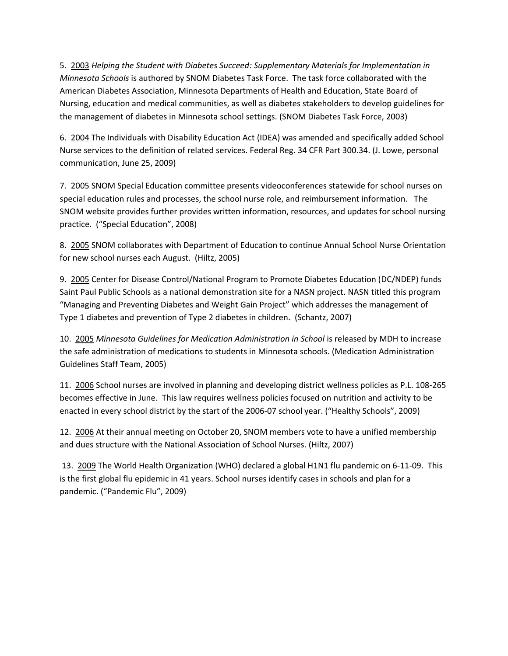5. 2003 *Helping the Student with Diabetes Succeed: Supplementary Materials for Implementation in Minnesota Schools* is authored by SNOM Diabetes Task Force. The task force collaborated with the American Diabetes Association, Minnesota Departments of Health and Education, State Board of Nursing, education and medical communities, as well as diabetes stakeholders to develop guidelines for the management of diabetes in Minnesota school settings. (SNOM Diabetes Task Force, 2003)

6. 2004 The Individuals with Disability Education Act (IDEA) was amended and specifically added School Nurse services to the definition of related services. Federal Reg. 34 CFR Part 300.34. (J. Lowe, personal communication, June 25, 2009)

7. 2005 SNOM Special Education committee presents videoconferences statewide for school nurses on special education rules and processes, the school nurse role, and reimbursement information. The SNOM website provides further provides written information, resources, and updates for school nursing practice. ("Special Education", 2008)

8. 2005 SNOM collaborates with Department of Education to continue Annual School Nurse Orientation for new school nurses each August. (Hiltz, 2005)

9. 2005 Center for Disease Control/National Program to Promote Diabetes Education (DC/NDEP) funds Saint Paul Public Schools as a national demonstration site for a NASN project. NASN titled this program "Managing and Preventing Diabetes and Weight Gain Project" which addresses the management of Type 1 diabetes and prevention of Type 2 diabetes in children. (Schantz, 2007)

10. 2005 *Minnesota Guidelines for Medication Administration in School* is released by MDH to increase the safe administration of medications to students in Minnesota schools. (Medication Administration Guidelines Staff Team, 2005)

11. 2006 School nurses are involved in planning and developing district wellness policies as P.L. 108-265 becomes effective in June. This law requires wellness policies focused on nutrition and activity to be enacted in every school district by the start of the 2006-07 school year. ("Healthy Schools", 2009)

12. 2006 At their annual meeting on October 20, SNOM members vote to have a unified membership and dues structure with the National Association of School Nurses. (Hiltz, 2007)

13. 2009 The World Health Organization (WHO) declared a global H1N1 flu pandemic on 6-11-09. This is the first global flu epidemic in 41 years. School nurses identify cases in schools and plan for a pandemic. ("Pandemic Flu", 2009)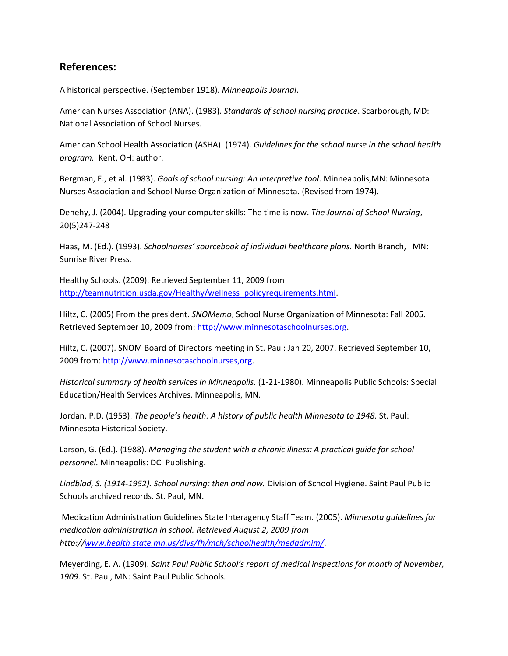# **References:**

A historical perspective. (September 1918). *Minneapolis Journal*.

American Nurses Association (ANA). (1983). *Standards of school nursing practice*. Scarborough, MD: National Association of School Nurses.

American School Health Association (ASHA). (1974). *Guidelines for the school nurse in the school health program.* Kent, OH: author.

Bergman, E., et al. (1983). *Goals of school nursing: An interpretive tool*. Minneapolis,MN: Minnesota Nurses Association and School Nurse Organization of Minnesota. (Revised from 1974).

Denehy, J. (2004). Upgrading your computer skills: The time is now. *The Journal of School Nursing*, 20(5)247-248

Haas, M. (Ed.). (1993). *Schoolnurses' sourcebook of individual healthcare plans.* North Branch, MN: Sunrise River Press.

Healthy Schools. (2009). Retrieved September 11, 2009 from [http://teamnutrition.usda.gov/Healthy/wellness\\_policyrequirements.html.](http://teamnutrition.usda.gov/Healthy/wellness_policyrequirements.html)

Hiltz, C. (2005) From the president. *SNOMemo*, School Nurse Organization of Minnesota: Fall 2005. Retrieved September 10, 2009 from: [http://www.minnesotaschoolnurses.org.](http://www.minnesotaschoolnurses.org/)

Hiltz, C. (2007). SNOM Board of Directors meeting in St. Paul: Jan 20, 2007. Retrieved September 10, 2009 from: [http://www.minnesotaschoolnurses,org.](http://www.minnesotaschoolnurses,org/)

*Historical summary of health services in Minneapolis.* (1-21-1980). Minneapolis Public Schools: Special Education/Health Services Archives. Minneapolis, MN.

Jordan, P.D. (1953). *The people's health: A history of public health Minnesota to 1948.* St. Paul: Minnesota Historical Society.

Larson, G. (Ed.). (1988). *Managing the student with a chronic illness: A practical guide for school personnel.* Minneapolis: DCI Publishing.

*Lindblad, S. (1914-1952). School nursing: then and now.* Division of School Hygiene. Saint Paul Public Schools archived records. St. Paul, MN.

Medication Administration Guidelines State Interagency Staff Team. (2005). *Minnesota guidelines for medication administration in school. Retrieved August 2, 2009 from http:/[/www.health.state.mn.us/divs/fh/mch/schoolhealth/medadmim/](http://www.health.state.mn.us/divs/fh/mch/schoolhealth/medadmim/)*.

Meyerding, E. A. (1909). *Saint Paul Public School's report of medical inspections for month of November, 1909.* St. Paul, MN: Saint Paul Public Schools*.*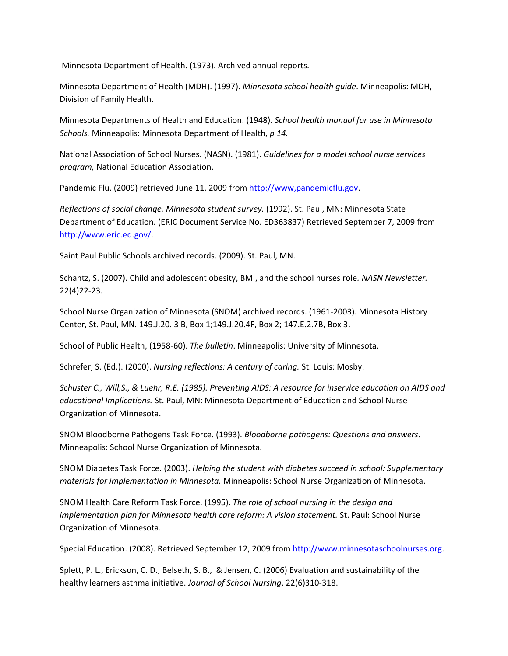Minnesota Department of Health. (1973). Archived annual reports.

Minnesota Department of Health (MDH). (1997). *Minnesota school health guide*. Minneapolis: MDH, Division of Family Health.

Minnesota Departments of Health and Education. (1948). *School health manual for use in Minnesota Schools.* Minneapolis: Minnesota Department of Health, *p 14.*

National Association of School Nurses. (NASN). (1981). *Guidelines for a model school nurse services program,* National Education Association.

Pandemic Flu. (2009) retrieved June 11, 2009 fro[m http://www,pandemicflu.gov.](http://www,pandemicflu.gov/)

*Reflections of social change. Minnesota student survey.* (1992). St. Paul, MN: Minnesota State Department of Education. (ERIC Document Service No. ED363837) Retrieved September 7, 2009 from [http://www.eric.ed.gov/.](http://www.eric.ed.gov/)

Saint Paul Public Schools archived records. (2009). St. Paul, MN.

Schantz, S. (2007). Child and adolescent obesity, BMI, and the school nurses role*. NASN Newsletter.* 22(4)22-23.

School Nurse Organization of Minnesota (SNOM) archived records. (1961-2003). Minnesota History Center, St. Paul, MN. 149.J.20. 3 B, Box 1;149.J.20.4F, Box 2; 147.E.2.7B, Box 3.

School of Public Health, (1958-60). *The bulletin*. Minneapolis: University of Minnesota.

Schrefer, S. (Ed.). (2000). *Nursing reflections: A century of caring.* St. Louis: Mosby.

*Schuster C., Will,S., & Luehr, R.E. (1985). Preventing AIDS: A resource for inservice education on AIDS and educational Implications.* St. Paul, MN: Minnesota Department of Education and School Nurse Organization of Minnesota.

SNOM Bloodborne Pathogens Task Force. (1993). *Bloodborne pathogens: Questions and answers*. Minneapolis: School Nurse Organization of Minnesota.

SNOM Diabetes Task Force. (2003). *Helping the student with diabetes succeed in school: Supplementary materials for implementation in Minnesota.* Minneapolis: School Nurse Organization of Minnesota.

SNOM Health Care Reform Task Force. (1995). *The role of school nursing in the design and implementation plan for Minnesota health care reform: A vision statement.* St. Paul: School Nurse Organization of Minnesota.

Special Education. (2008). Retrieved September 12, 2009 from [http://www.minnesotaschoolnurses.org.](http://www.minnesotaschoolnurses.org/)

Splett, P. L., Erickson, C. D., Belseth, S. B., & Jensen, C. (2006) Evaluation and sustainability of the healthy learners asthma initiative. *Journal of School Nursing*, 22(6)310-318.